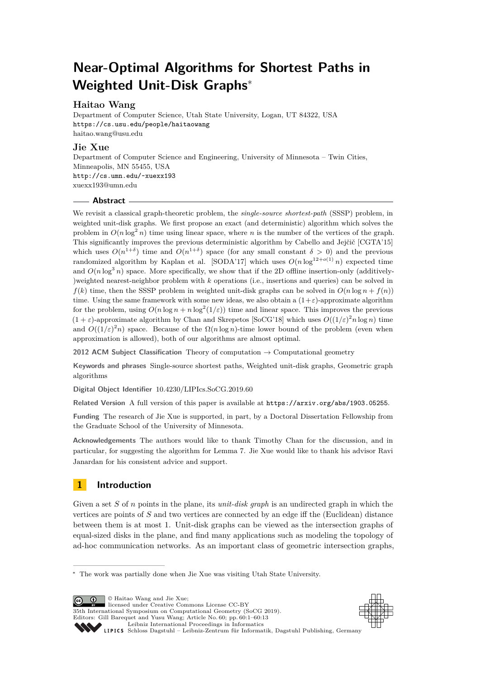# **Near-Optimal Algorithms for Shortest Paths in Weighted Unit-Disk Graphs**<sup>∗</sup>

## **Haitao Wang**

Department of Computer Science, Utah State University, Logan, UT 84322, USA <https://cs.usu.edu/people/haitaowang> [haitao.wang@usu.edu](mailto:haitao.wang@usu.edu)

## **Jie Xue**

Department of Computer Science and Engineering, University of Minnesota – Twin Cities, Minneapolis, MN 55455, USA <http://cs.umn.edu/~xuexx193> [xuexx193@umn.edu](mailto:xuexx193@umn.edu)

## **Abstract**

We revisit a classical graph-theoretic problem, the *single-source shortest-path* (SSSP) problem, in weighted unit-disk graphs. We first propose an exact (and deterministic) algorithm which solves the problem in  $O(n \log^2 n)$  time using linear space, where *n* is the number of the vertices of the graph. This significantly improves the previous deterministic algorithm by Cabello and Jejčič [CGTA'15] which uses  $O(n^{1+\delta})$  time and  $O(n^{1+\delta})$  space (for any small constant  $\delta > 0$ ) and the previous randomized algorithm by Kaplan et al. [SODA'17] which uses  $O(n \log^{12+o(1)} n)$  expected time and  $O(n \log^3 n)$  space. More specifically, we show that if the 2D offline insertion-only (additively-)weighted nearest-neighbor problem with *k* operations (i.e., insertions and queries) can be solved in  $f(k)$  time, then the SSSP problem in weighted unit-disk graphs can be solved in  $O(n \log n + f(n))$ time. Using the same framework with some new ideas, we also obtain a  $(1+\varepsilon)$ -approximate algorithm for the problem, using  $O(n \log n + n \log^2(1/\varepsilon))$  time and linear space. This improves the previous  $(1 + \varepsilon)$ -approximate algorithm by Chan and Skrepetos [SoCG'18] which uses  $O((1/\varepsilon)^2 n \log n)$  time and  $O((1/\varepsilon)^2 n)$  space. Because of the  $\Omega(n \log n)$ -time lower bound of the problem (even when approximation is allowed), both of our algorithms are almost optimal.

**2012 ACM Subject Classification** Theory of computation → Computational geometry

**Keywords and phrases** Single-source shortest paths, Weighted unit-disk graphs, Geometric graph algorithms

**Digital Object Identifier** [10.4230/LIPIcs.SoCG.2019.60](https://doi.org/10.4230/LIPIcs.SoCG.2019.60)

**Related Version** A full version of this paper is available at <https://arxiv.org/abs/1903.05255>.

**Funding** The research of Jie Xue is supported, in part, by a Doctoral Dissertation Fellowship from the Graduate School of the University of Minnesota.

**Acknowledgements** The authors would like to thank Timothy Chan for the discussion, and in particular, for suggesting the algorithm for Lemma [7.](#page-8-0) Jie Xue would like to thank his advisor Ravi Janardan for his consistent advice and support.

## **1 Introduction**

Given a set *S* of *n* points in the plane, its *unit-disk graph* is an undirected graph in which the vertices are points of *S* and two vertices are connected by an edge iff the (Euclidean) distance between them is at most 1. Unit-disk graphs can be viewed as the intersection graphs of equal-sized disks in the plane, and find many applications such as modeling the topology of ad-hoc communication networks. As an important class of geometric intersection graphs,

© Haitao Wang and Jie Xue;  $\boxed{6}$  0 licensed under Creative Commons License CC-BY 35th International Symposium on Computational Geometry (SoCG 2019).



Editors: Gill Barequet and Yusu Wang; Article No. 60; pp. 60:1–60[:13](#page-12-0) [Leibniz International Proceedings in Informatics](https://www.dagstuhl.de/lipics/) [Schloss Dagstuhl – Leibniz-Zentrum für Informatik, Dagstuhl Publishing, Germany](https://www.dagstuhl.de)

<sup>∗</sup> The work was partially done when Jie Xue was visiting Utah State University.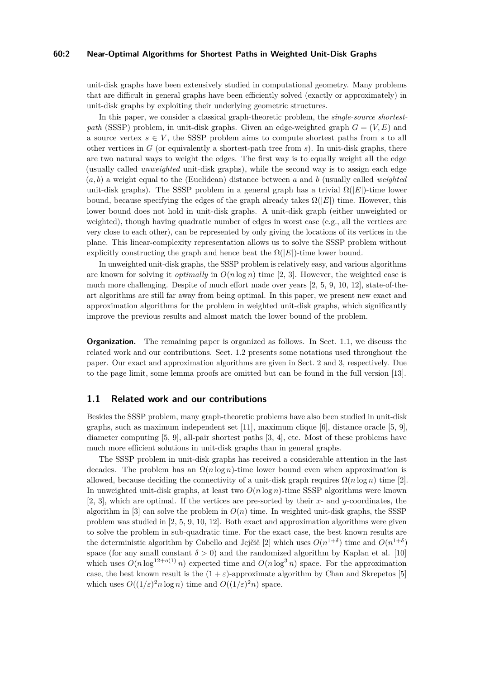#### **60:2 Near-Optimal Algorithms for Shortest Paths in Weighted Unit-Disk Graphs**

unit-disk graphs have been extensively studied in computational geometry. Many problems that are difficult in general graphs have been efficiently solved (exactly or approximately) in unit-disk graphs by exploiting their underlying geometric structures.

In this paper, we consider a classical graph-theoretic problem, the *single-source shortestpath* (SSSP) problem, in unit-disk graphs. Given an edge-weighted graph  $G = (V, E)$  and a source vertex  $s \in V$ , the SSSP problem aims to compute shortest paths from *s* to all other vertices in *G* (or equivalently a shortest-path tree from *s*). In unit-disk graphs, there are two natural ways to weight the edges. The first way is to equally weight all the edge (usually called *unweighted* unit-disk graphs), while the second way is to assign each edge (*a, b*) a weight equal to the (Euclidean) distance between *a* and *b* (usually called *weighted* unit-disk graphs). The SSSP problem in a general graph has a trivial  $\Omega(|E|)$ -time lower bound, because specifying the edges of the graph already takes  $\Omega(|E|)$  time. However, this lower bound does not hold in unit-disk graphs. A unit-disk graph (either unweighted or weighted), though having quadratic number of edges in worst case (e.g., all the vertices are very close to each other), can be represented by only giving the locations of its vertices in the plane. This linear-complexity representation allows us to solve the SSSP problem without explicitly constructing the graph and hence beat the  $\Omega(|E|)$ -time lower bound.

In unweighted unit-disk graphs, the SSSP problem is relatively easy, and various algorithms are known for solving it *optimally* in  $O(n \log n)$  time [\[2,](#page-12-1) [3\]](#page-12-2). However, the weighted case is much more challenging. Despite of much effort made over years [\[2,](#page-12-1) [5,](#page-12-3) [9,](#page-12-4) [10,](#page-12-5) [12\]](#page-12-6), state-of-theart algorithms are still far away from being optimal. In this paper, we present new exact and approximation algorithms for the problem in weighted unit-disk graphs, which significantly improve the previous results and almost match the lower bound of the problem.

**Organization.** The remaining paper is organized as follows. In Sect. [1.1,](#page-1-0) we discuss the related work and our contributions. Sect. [1.2](#page-2-0) presents some notations used throughout the paper. Our exact and approximation algorithms are given in Sect. [2](#page-3-0) and [3,](#page-9-0) respectively. Due to the page limit, some lemma proofs are omitted but can be found in the full version [\[13\]](#page-12-7).

#### <span id="page-1-0"></span>**1.1 Related work and our contributions**

Besides the SSSP problem, many graph-theoretic problems have also been studied in unit-disk graphs, such as maximum independent set [\[11\]](#page-12-8), maximum clique [\[6\]](#page-12-9), distance oracle [\[5,](#page-12-3) [9\]](#page-12-4), diameter computing [\[5,](#page-12-3) [9\]](#page-12-4), all-pair shortest paths [\[3,](#page-12-2) [4\]](#page-12-10), etc. Most of these problems have much more efficient solutions in unit-disk graphs than in general graphs.

The SSSP problem in unit-disk graphs has received a considerable attention in the last decades. The problem has an  $\Omega(n \log n)$ -time lower bound even when approximation is allowed, because deciding the connectivity of a unit-disk graph requires  $\Omega(n \log n)$  time [\[2\]](#page-12-1). In unweighted unit-disk graphs, at least two *O*(*n* log *n*)-time SSSP algorithms were known [\[2,](#page-12-1) [3\]](#page-12-2), which are optimal. If the vertices are pre-sorted by their *x*- and *y*-coordinates, the algorithm in [\[3\]](#page-12-2) can solve the problem in  $O(n)$  time. In weighted unit-disk graphs, the SSSP problem was studied in [\[2,](#page-12-1) [5,](#page-12-3) [9,](#page-12-4) [10,](#page-12-5) [12\]](#page-12-6). Both exact and approximation algorithms were given to solve the problem in sub-quadratic time. For the exact case, the best known results are the deterministic algorithm by Cabello and Jejčič [\[2\]](#page-12-1) which uses  $O(n^{1+\delta})$  time and  $O(n^{1+\delta})$ space (for any small constant  $\delta > 0$ ) and the randomized algorithm by Kaplan et al. [\[10\]](#page-12-5) which uses  $O(n \log^{12+o(1)} n)$  expected time and  $O(n \log^3 n)$  space. For the approximation case, the best known result is the  $(1 + \varepsilon)$ -approximate algorithm by Chan and Skrepetos [\[5\]](#page-12-3) which uses  $O((1/\varepsilon)^2 n \log n)$  time and  $O((1/\varepsilon)^2 n)$  space.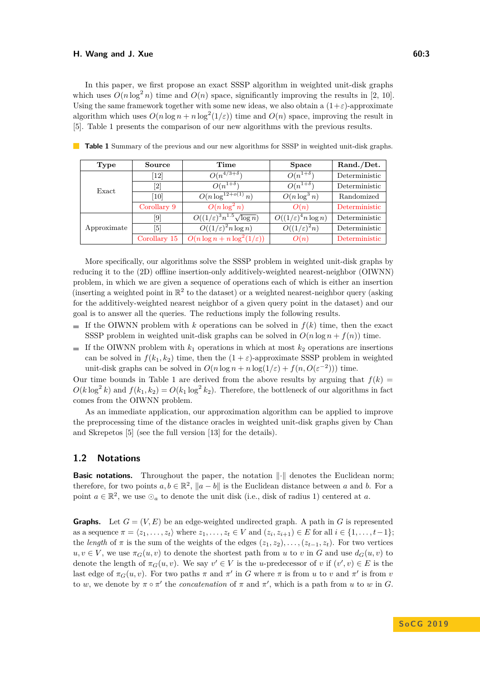#### **H.** Wang and J. Xue 60:3

In this paper, we first propose an exact SSSP algorithm in weighted unit-disk graphs which uses  $O(n \log^2 n)$  time and  $O(n)$  space, significantly improving the results in [\[2,](#page-12-1) [10\]](#page-12-5). Using the same framework together with some new ideas, we also obtain a  $(1+\varepsilon)$ -approximate algorithm which uses  $O(n \log n + n \log^2(1/\varepsilon))$  time and  $O(n)$  space, improving the result in [\[5\]](#page-12-3). Table [1](#page-2-1) presents the comparison of our new algorithms with the previous results.

| Type        | Source             | Time                                         | <b>Space</b>                    | Rand./Det.    |
|-------------|--------------------|----------------------------------------------|---------------------------------|---------------|
| Exact       | $\left[12\right]$  | $O(n^{4/3+\delta})$                          | $O(n^{1+\delta})$               | Deterministic |
|             | 2                  | $O(n^{1+\delta})$                            | $O(n^{1+\delta})$               | Deterministic |
|             | [10]               | $O(n \log^{12+o(1)} n)$                      | $O(n \log^3 n)$                 | Randomized    |
|             | Corollary 9        | $O(n \log^2 n)$                              | O(n)                            | Deterministic |
| Approximate | $\left[ 9 \right]$ | $O((1/\varepsilon)^3 n^{1.5} \sqrt{\log n})$ | $O((1/\varepsilon)^4 n \log n)$ | Deterministic |
|             | [5]                | $O((1/\varepsilon)^2 n \log n)$              | $O((1/\varepsilon)^2 n)$        | Deterministic |
|             | Corollary 15       | $O(n \log n + n \log^2(1/\varepsilon))$      | O(n)                            | Deterministic |

<span id="page-2-1"></span>**Table 1** Summary of the previous and our new algorithms for SSSP in weighted unit-disk graphs.

More specifically, our algorithms solve the SSSP problem in weighted unit-disk graphs by reducing it to the (2D) offline insertion-only additively-weighted nearest-neighbor (OIWNN) problem, in which we are given a sequence of operations each of which is either an insertion (inserting a weighted point in  $\mathbb{R}^2$  to the dataset) or a weighted nearest-neighbor query (asking for the additively-weighted nearest neighbor of a given query point in the dataset) and our goal is to answer all the queries. The reductions imply the following results.

- If the OIWNN problem with  $k$  operations can be solved in  $f(k)$  time, then the exact  $\overline{a}$ SSSP problem in weighted unit-disk graphs can be solved in  $O(n \log n + f(n))$  time.
- If the OIWNN problem with  $k_1$  operations in which at most  $k_2$  operations are insertions can be solved in  $f(k_1, k_2)$  time, then the  $(1 + \varepsilon)$ -approximate SSSP problem in weighted unit-disk graphs can be solved in  $O(n \log n + n \log(1/\varepsilon) + f(n, O(\varepsilon^{-2})))$  time.

Our time bounds in Table [1](#page-2-1) are derived from the above results by arguing that  $f(k)$  $O(k \log^2 k)$  and  $f(k_1, k_2) = O(k_1 \log^2 k_2)$ . Therefore, the bottleneck of our algorithms in fact comes from the OIWNN problem.

As an immediate application, our approximation algorithm can be applied to improve the preprocessing time of the distance oracles in weighted unit-disk graphs given by Chan and Skrepetos [\[5\]](#page-12-3) (see the full version [\[13\]](#page-12-7) for the details).

## <span id="page-2-0"></span>**1.2 Notations**

**Basic notations.** Throughout the paper, the notation  $\|\cdot\|$  denotes the Euclidean norm; therefore, for two points  $a, b \in \mathbb{R}^2$ ,  $\|a - b\|$  is the Euclidean distance between a and b. For a point  $a \in \mathbb{R}^2$ , we use  $\odot_a$  to denote the unit disk (i.e., disk of radius 1) centered at *a*.

**Graphs.** Let  $G = (V, E)$  be an edge-weighted undirected graph. A path in G is represented as a sequence  $\pi = \langle z_1, \ldots, z_t \rangle$  where  $z_1, \ldots, z_t \in V$  and  $(z_i, z_{i+1}) \in E$  for all  $i \in \{1, \ldots, t-1\};$ the *length* of  $\pi$  is the sum of the weights of the edges  $(z_1, z_2), \ldots, (z_{t-1}, z_t)$ . For two vertices  $u, v \in V$ , we use  $\pi_G(u, v)$  to denote the shortest path from *u* to *v* in *G* and use  $d_G(u, v)$  to denote the length of  $\pi_G(u, v)$ . We say  $v' \in V$  is the *u*-predecessor of *v* if  $(v', v) \in E$  is the last edge of  $\pi_G(u, v)$ . For two paths  $\pi$  and  $\pi'$  in *G* where  $\pi$  is from *u* to *v* and  $\pi'$  is from *v* to *w*, we denote by  $\pi \circ \pi'$  the *concatenation* of  $\pi$  and  $\pi'$ , which is a path from *u* to *w* in *G*.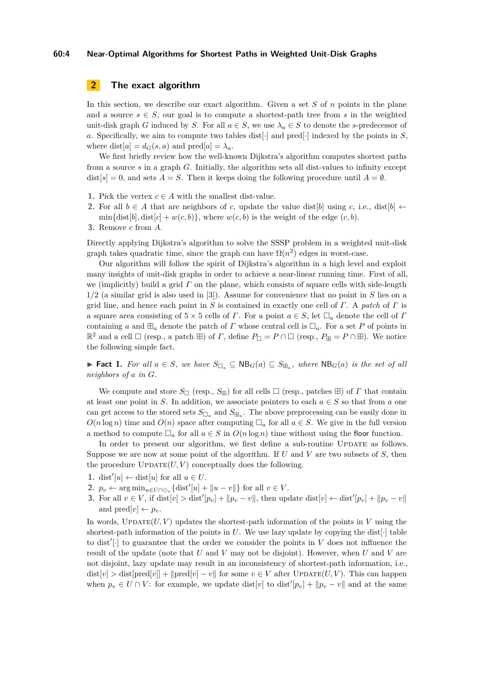#### **60:4 Near-Optimal Algorithms for Shortest Paths in Weighted Unit-Disk Graphs**

## <span id="page-3-0"></span>**2 The exact algorithm**

In this section, we describe our exact algorithm. Given a set *S* of *n* points in the plane and a source  $s \in S$ , our goal is to compute a shortest-path tree from s in the weighted unit-disk graph *G* induced by *S*. For all  $a \in S$ , we use  $\lambda_a \in S$  to denote the *s*-predecessor of *a*. Specifically, we aim to compute two tables dist[·] and pred[·] indexed by the points in *S*, where  $dist[a] = d_G(s, a)$  and  $pred[a] = \lambda_a$ .

We first briefly review how the well-known Dijkstra's algorithm computes shortest paths from a source *s* in a graph *G*. Initially, the algorithm sets all dist-values to infinity except  $dist[s] = 0$ , and sets  $A = S$ . Then it keeps doing the following procedure until  $A = \emptyset$ .

- 1. Pick the vertex  $c \in A$  with the smallest dist-value.
- **2.** For all  $b \in A$  that are neighbors of *c*, update the value dist[*b*] using *c*, i.e., dist[*b*]  $\leftarrow$  $\min{\{\text{dist}[b], \text{dist}[c] + w(c, b)\}\}\$ , where  $w(c, b)$  is the weight of the edge  $(c, b)$ .
- **3.** Remove *c* from *A*.

Directly applying Dijkstra's algorithm to solve the SSSP problem in a weighted unit-disk graph takes quadratic time, since the graph can have  $\Omega(n^2)$  edges in worst-case.

Our algorithm will follow the spirit of Dijkstra's algorithm in a high level and exploit many insights of unit-disk graphs in order to achieve a near-linear running time. First of all, we (implicitly) build a grid *Γ* on the plane, which consists of square cells with side-length 1*/*2 (a similar grid is also used in [\[3\]](#page-12-2)). Assume for convenience that no point in *S* lies on a grid line, and hence each point in *S* is contained in exactly one cell of *Γ*. A *patch* of *Γ* is a square area consisting of  $5 \times 5$  cells of *Γ*. For a point  $a \in S$ , let  $\square_a$  denote the cell of *Γ* containing *a* and  $\mathbb{H}_a$  denote the patch of *Γ* whose central cell is  $\Box_a$ . For a set *P* of points in  $\mathbb{R}^2$  and a cell  $\Box$  (resp., a patch  $\boxplus$ ) of *Γ*, define  $P_{\Box} = P \cap \Box$  (resp.,  $P_{\boxplus} = P \cap \boxplus$ ). We notice the following simple fact.

► **Fact 1.** For all  $a \in S$ , we have  $S_{\Box_a} \subseteq \mathsf{NB}_G(a) \subseteq S_{\boxplus_a}$ , where  $\mathsf{NB}_G(a)$  is the set of all *neighbors of a in G.*

We compute and store  $S_{\Box}$  (resp.,  $S_{\boxplus}$ ) for all cells  $\Box$  (resp., patches  $\boxplus$ ) of  $\Gamma$  that contain at least one point in *S*. In addition, we associate pointers to each  $a \in S$  so that from *a* one can get access to the stored sets  $S_{\Box_a}$  and  $S_{\boxplus_a}$ . The above preprocessing can be easily done in  $O(n \log n)$  time and  $O(n)$  space after computing  $\Box_a$  for all  $a \in S$ . We give in the full version a method to compute  $\Box_a$  for all  $a \in S$  in  $O(n \log n)$  time without using the floor function.

In order to present our algorithm, we first define a sub-routine UPDATE as follows. Suppose we are now at some point of the algorithm. If *U* and *V* are two subsets of *S*, then the procedure  $\text{UPDATE}(U, V)$  conceptually does the following.

- 1. dist<sup>'</sup>[*u*] ← dist[*u*] for all  $u \in U$ .
- 2.  $p_v \leftarrow \arg \min_{u \in U \cap \odot_v} {\text{dist}'[u] + ||u v||}$  for all  $v \in V$ .
- **3.** For all  $v \in V$ , if  $dist[v] > dist'[p_v] + ||p_v v||$ , then update  $dist[v] \leftarrow dist'[p_v] + ||p_v v||$ and  $\text{pred}[v] \leftarrow p_v$ .

In words,  $UPDATE(U, V)$  updates the shortest-path information of the points in *V* using the shortest-path information of the points in  $U$ . We use lazy update by copying the dist $[\cdot]$  table to dist<sup>'</sup>[ $\cdot$ ] to guarantee that the order we consider the points in *V* does not influence the result of the update (note that *U* and *V* may not be disjoint). However, when *U* and *V* are not disjoint, lazy update may result in an inconsistency of shortest-path information, i.e.,  $dist[v] > dist[pred[v]] + ||pred[v] - v||$  for some  $v \in V$  after UPDATE(*U, V*). This can happen when  $p_v \in U \cap V$ : for example, we update dist[*v*] to dist<sup>'</sup>[ $p_v$ ] +  $||p_v - v||$  and at the same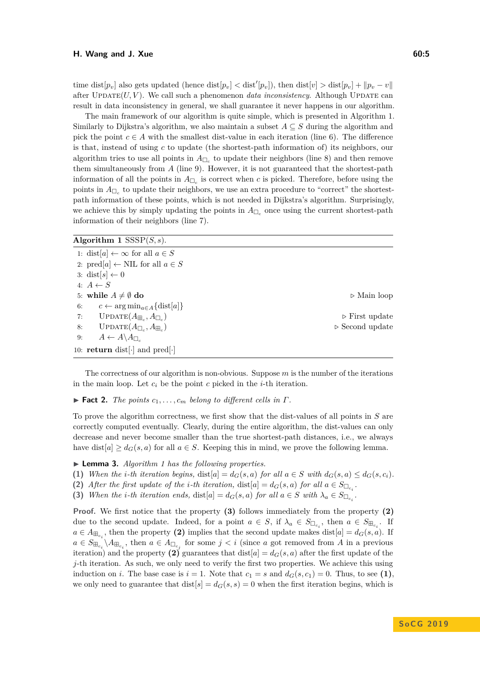$\text{time dist}[p_v]$  also gets updated (hence  $\text{dist}[p_v] < \text{dist}'[p_v]$ ), then  $\text{dist}[v] > \text{dist}[p_v] + ||p_v - v||$ after  $\text{UPDATE}(U, V)$ . We call such a phenomenon *data inconsistency*. Although UPDATE can result in data inconsistency in general, we shall guarantee it never happens in our algorithm.

The main framework of our algorithm is quite simple, which is presented in Algorithm [1.](#page-4-0) Similarly to Dijkstra's algorithm, we also maintain a subset  $A \subseteq S$  during the algorithm and pick the point  $c \in A$  with the smallest dist-value in each iteration (line 6). The difference is that, instead of using *c* to update (the shortest-path information of) its neighbors, our algorithm tries to use all points in  $A_{\Box_c}$  to update their neighbors (line 8) and then remove them simultaneously from *A* (line 9). However, it is not guaranteed that the shortest-path information of all the points in  $A_{\Box_c}$  is correct when *c* is picked. Therefore, before using the points in  $A_{\Box_c}$  to update their neighbors, we use an extra procedure to "correct" the shortestpath information of these points, which is not needed in Dijkstra's algorithm. Surprisingly, we achieve this by simply updating the points in  $A_{\Box_c}$  once using the current shortest-path information of their neighbors (line 7).

## <span id="page-4-0"></span>**Algorithm 1** SSSP(*S, s*).

| 1: dist[a] $\leftarrow \infty$ for all $a \in S$              |                                |
|---------------------------------------------------------------|--------------------------------|
| 2: $\text{pred}[a] \leftarrow \text{NIL}$ for all $a \in S$   |                                |
| 3: dist[s] $\leftarrow 0$                                     |                                |
| 4: $A \leftarrow S$                                           |                                |
| 5: while $A \neq \emptyset$ do                                | $\triangleright$ Main loop     |
| $c \leftarrow \arg \min_{a \in A} {\{\text{dist}[a]\}}$<br>6: |                                |
| $UPDATE(A_{\boxplus_c}, A_{\Box_c})$<br>7:                    | $\triangleright$ First update  |
| $UPDATE(A_{\Box_c}, A_{\boxplus_c})$<br>8:                    | $\triangleright$ Second update |
| $A \leftarrow A \backslash A_{\square}$<br>9:                 |                                |
| 10: <b>return</b> dist[ $\cdot$ ] and pred[ $\cdot$ ]         |                                |

The correctness of our algorithm is non-obvious. Suppose *m* is the number of the iterations in the main loop. Let  $c_i$  be the point  $c$  picked in the  $i$ -th iteration.

<span id="page-4-1"></span> $\blacktriangleright$  **Fact 2.** *The points*  $c_1, \ldots, c_m$  *belong to different cells in*  $\Gamma$ *.* 

To prove the algorithm correctness, we first show that the dist-values of all points in *S* are correctly computed eventually. Clearly, during the entire algorithm, the dist-values can only decrease and never become smaller than the true shortest-path distances, i.e., we always have dist $[a] \geq d_G(s, a)$  for all  $a \in S$ . Keeping this in mind, we prove the following lemma.

<span id="page-4-2"></span>I **Lemma 3.** *Algorithm [1](#page-4-0) has the following properties.*

- (1) When the *i*-th iteration begins,  $dist[a] = d_G(s, a)$  for all  $a \in S$  with  $d_G(s, a) \leq d_G(s, c_i)$ .
- (2) *After the first update of the <i>i*-th *iteration*,  $dist[a] = d_G(s, a)$  *for all*  $a \in S_{\Box_{c_i}}$ .
- **(3)** When the *i*-th iteration ends, dist $[a] = d_G(s, a)$  for all  $a \in S$  with  $\lambda_a \in S_{\Box_{c_i}}$ .

**Proof.** We first notice that the property **(3)** follows immediately from the property **(2)** due to the second update. Indeed, for a point  $a \in S$ , if  $\lambda_a \in S_{\Box_{c_i}}$ , then  $a \in S_{\Box_{c_i}}$ . If  $a \in A_{\mathbb{H}_{c_i}}$ , then the property (2) implies that the second update makes dist $[a] = d_G(s, a)$ . If  $a \in S_{\mathbb{H}_{c_i}} \backslash A_{\mathbb{H}_{c_i}}$ , then  $a \in A_{\Box_{c_j}}$  for some  $j < i$  (since *a* got removed from *A* in a previous iteration) and the property (2) guarantees that dist $[a] = d_G(s, a)$  after the first update of the  $j$ -th iteration. As such, we only need to verify the first two properties. We achieve this using induction on *i*. The base case is  $i = 1$ . Note that  $c_1 = s$  and  $d_G(s, c_1) = 0$ . Thus, to see (1), we only need to guarantee that  $dist[s] = d_G(s, s) = 0$  when the first iteration begins, which is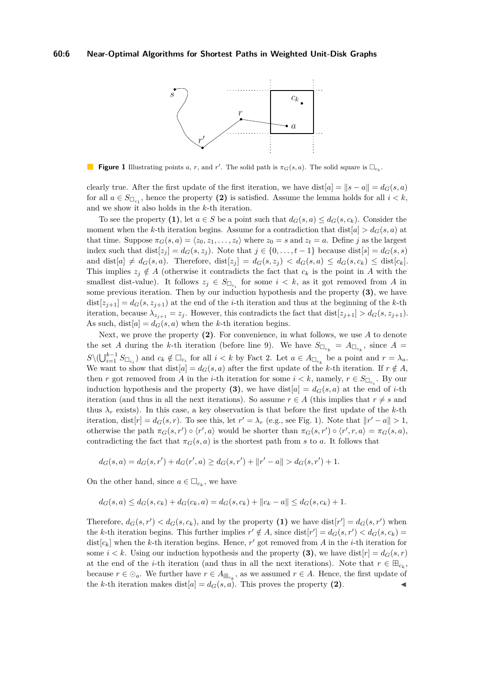<span id="page-5-0"></span>

**Figure 1** Illustrating points *a*, *r*, and *r'*. The solid path is  $\pi_G(s, a)$ . The solid square is  $\Box_{c_k}$ .

clearly true. After the first update of the first iteration, we have dist $[a] = \|s - a\| = d_G(s, a)$ for all  $a \in S_{\Box_{c_1}}$ , hence the property (2) is satisfied. Assume the lemma holds for all  $i < k$ , and we show it also holds in the *k*-th iteration.

To see the property (1), let  $a \in S$  be a point such that  $d_G(s, a) \leq d_G(s, c_k)$ . Consider the moment when the *k*-th iteration begins. Assume for a contradiction that  $dist[a] > d_G(s, a)$  at that time. Suppose  $\pi_G(s, a) = \langle z_0, z_1, \ldots, z_t \rangle$  where  $z_0 = s$  and  $z_t = a$ . Define *j* as the largest index such that  $dist[z_j] = d_G(s, z_j)$ . Note that  $j \in \{0, \ldots, t-1\}$  because  $dist[s] = d_G(s, s)$ and dist  $[a] \neq d_G(s, a)$ . Therefore, dist  $[z_i] = d_G(s, z_i) < d_G(s, a) \leq d_G(s, c_k) \leq \text{dist}[c_k]$ . This implies  $z_j \notin A$  (otherwise it contradicts the fact that  $c_k$  is the point in *A* with the smallest dist-value). It follows  $z_j \in S_{\Box_{c_i}}$  for some  $i < k$ , as it got removed from *A* in some previous iteration. Then by our induction hypothesis and the property **(3)**, we have  $dist[z_{j+1}] = d_G(s, z_{j+1})$  at the end of the *i*-th iteration and thus at the beginning of the *k*-th iteration, because  $\lambda_{z_{j+1}} = z_j$ . However, this contradicts the fact that dist $[z_{j+1}] > d_G(s, z_{j+1})$ . As such,  $dist[a] = d_G(s, a)$  when the *k*-th iteration begins.

Next, we prove the property **(2)**. For convenience, in what follows, we use *A* to denote the set *A* during the *k*-th iteration (before line 9). We have  $S_{\Box_{c_k}} = A_{\Box_{c_k}}$ , since  $A =$  $S \setminus (\bigcup_{i=1}^{k-1} S_{\Box_{c_i}})$  and  $c_k \notin \Box_{c_i}$  for all  $i < k$  by Fact [2.](#page-4-1) Let  $a \in A_{\Box_{c_k}}$  be a point and  $r = \lambda_a$ . We want to show that  $dist[a] = d_G(s, a)$  after the first update of the *k*-th iteration. If  $r \notin A$ , then *r* got removed from *A* in the *i*-th iteration for some  $i < k$ , namely,  $r \in S_{\Box_{c_i}}$ . By our induction hypothesis and the property (3), we have dist $[a] = d_G(s, a)$  at the end of *i*-th iteration (and thus in all the next iterations). So assume  $r \in A$  (this implies that  $r \neq s$  and thus  $\lambda_r$  exists). In this case, a key observation is that before the first update of the *k*-th iteration, dist $[r] = d_G(s, r)$ . To see this, let  $r' = \lambda_r$  (e.g., see Fig. [1\)](#page-5-0). Note that  $||r' - a|| > 1$ , otherwise the path  $\pi_G(s, r') \circ \langle r', a \rangle$  would be shorter than  $\pi_G(s, r') \circ \langle r', r, a \rangle = \pi_G(s, a)$ , contradicting the fact that  $\pi_G(s, a)$  is the shortest path from *s* to *a*. It follows that

$$
d_G(s, a) = d_G(s, r') + d_G(r', a) \ge d_G(s, r') + ||r' - a|| > d_G(s, r') + 1.
$$

On the other hand, since  $a \in \Box_{c_k}$ , we have

$$
d_G(s, a) \le d_G(s, c_k) + d_G(c_k, a) = d_G(s, c_k) + ||c_k - a|| \le d_G(s, c_k) + 1.
$$

Therefore,  $d_G(s, r') < d_G(s, c_k)$ , and by the property (1) we have  $dist[r'] = d_G(s, r')$  when the *k*-th iteration begins. This further implies  $r' \notin A$ , since  $dist[r'] = d_G(s, r') < d_G(s, c_k)$ dist $[c_k]$  when the *k*-th iteration begins. Hence,  $r'$  got removed from *A* in the *i*-th iteration for some  $i < k$ . Using our induction hypothesis and the property (3), we have dist $[r] = d_G(s, r)$ at the end of the *i*-th iteration (and thus in all the next iterations). Note that  $r \in \mathbb{E}_{c_k}$ , because  $r \in \odot_a$ . We further have  $r \in A_{\boxplus_{c_k}}$ , as we assumed  $r \in A$ . Hence, the first update of the *k*-th iteration makes dist $[a] = d_G(s, a)$ . This proves the property (2).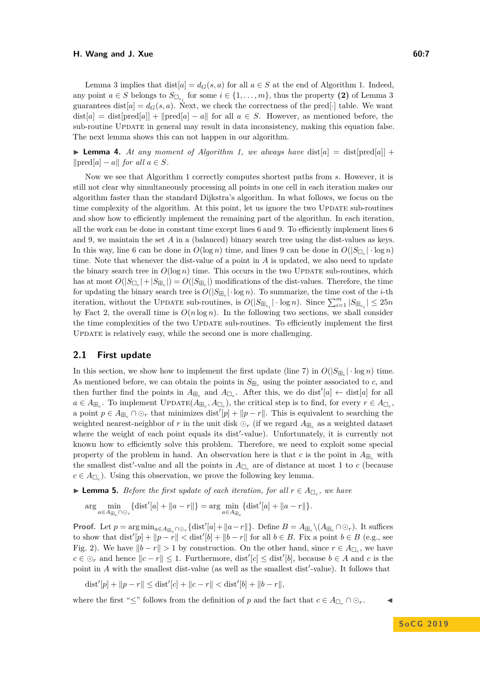#### **H.** Wang and J. Xue 60:7

Lemma [3](#page-4-2) implies that  $dist[a] = d_G(s, a)$  for all  $a \in S$  at the end of Algorithm [1.](#page-4-0) Indeed, any point  $a \in S$  belongs to  $S_{\Box_{c_i}}$  for some  $i \in \{1, \ldots, m\}$ , thus the property (2) of Lemma [3](#page-4-2) guarantees dist $[a] = d_G(s, a)$ . Next, we check the correctness of the pred[·] table. We want  $dist[a] = dist[pred[a]] + ||pred[a] - a||$  for all  $a \in S$ . However, as mentioned before, the sub-routine UPDATE in general may result in data inconsistency, making this equation false. The next lemma shows this can not happen in our algorithm.

**Lemma 4.** At any moment of Algorithm [1,](#page-4-0) we always have  $dist[a] = dist[pred[a]] +$  $\text{||pred}[a] - a\text{||}$  *for all*  $a \in S$ *.* 

Now we see that Algorithm [1](#page-4-0) correctly computes shortest paths from *s*. However, it is still not clear why simultaneously processing all points in one cell in each iteration makes our algorithm faster than the standard Dijkstra's algorithm. In what follows, we focus on the time complexity of the algorithm. At this point, let us ignore the two UPDATE sub-routines and show how to efficiently implement the remaining part of the algorithm. In each iteration, all the work can be done in constant time except lines 6 and 9. To efficiently implement lines 6 and 9, we maintain the set  $A$  in a (balanced) binary search tree using the dist-values as keys. In this way, line 6 can be done in  $O(\log n)$  time, and lines 9 can be done in  $O(|S_{\Box_c}| \cdot \log n)$ time. Note that whenever the dist-value of a point in *A* is updated, we also need to update the binary search tree in  $O(\log n)$  time. This occurs in the two UPDATE sub-routines, which has at most  $O(|S_{\Box_c}|+|S_{\Box_c}|) = O(|S_{\Box_c}|)$  modifications of the dist-values. Therefore, the time for updating the binary search tree is  $O(|S_{\text{H}_c}| \cdot \log n)$ . To summarize, the time cost of the *i*-th iteration, without the UPDATE sub-routines, is  $O(|S_{\mathbb{H}_{c_i}}| \cdot \log n)$ . Since  $\sum_{i=1}^{m} |S_{\mathbb{H}_{c_i}}| \leq 25n$ by Fact [2,](#page-4-1) the overall time is  $O(n \log n)$ . In the following two sections, we shall consider the time complexities of the two Update sub-routines. To efficiently implement the first UPDATE is relatively easy, while the second one is more challenging.

#### <span id="page-6-1"></span>**2.1 First update**

In this section, we show how to implement the first update (line 7) in  $O(|S_{\text{H}_c}| \cdot \log n)$  time. As mentioned before, we can obtain the points in  $S_{\mathbb{H}_c}$  using the pointer associated to c, and then further find the points in  $A_{\Box_c}$  and  $A_{\Box_c}$ . After this, we do dist<sup>'</sup>[a] ← dist[a] for all  $a \in A_{\mathbb{H}_c}$ . To implement UPDATE $(A_{\mathbb{H}_c}, A_{\mathbb{L}_c})$ , the critical step is to find, for every  $r \in A_{\mathbb{L}_c}$ , a point  $p \in A_{\mathbb{H}_c} \cap \mathbb{O}_r$  that minimizes dist<sup>'</sup> $[p] + ||p - r||$ . This is equivalent to searching the weighted nearest-neighbor of  $r$  in the unit disk  $\odot_r$  (if we regard  $A_{\boxplus_c}$  as a weighted dataset where the weight of each point equals its dist'-value). Unfortunately, it is currently not known how to efficiently solve this problem. Therefore, we need to exploit some special property of the problem in hand. An observation here is that *c* is the point in  $A_{\text{H}_c}$  with the smallest dist<sup>'</sup>-value and all the points in  $A_{\Box_c}$  are of distance at most 1 to *c* (because  $c \in A_{\Box_c}$ ). Using this observation, we prove the following key lemma.

<span id="page-6-0"></span>▶ **Lemma 5.** *Before the first update of each iteration, for all*  $r \in A_{\Box_c}$ *, we have* 

$$
\arg\min_{a\in A_{\boxplus_c}\cap\bigcirc_r} \{\text{dist}'[a] + \|a - r\|\} = \arg\min_{a\in A_{\boxplus_c}} \{\text{dist}'[a] + \|a - r\|\}.
$$

**Proof.** Let  $p = \arg \min_{a \in A_{\mathbb{H}_c} \cap \mathcal{O}_r} {\text{dist}'[a] + \|a - r\|}$ . Define  $B = A_{\mathbb{H}_c} \setminus (A_{\mathbb{H}_c} \cap \mathcal{O}_r)$ . It suffices to show that  $dist'[p] + ||p - r|| < dist'[b] + ||b - r||$  for all  $b \in B$ . Fix a point  $b \in B$  (e.g., see Fig. [2\)](#page-7-0). We have  $||b - r|| > 1$  by construction. On the other hand, since  $r \in A_{\Box_c}$ , we have *c* ∈ ⊙<sub>*r*</sub> and hence  $||c - r|| \le 1$ . Furthermore, dist<sup>'</sup>[*c*] ≤ dist<sup>'</sup>[*b*], because *b* ∈ *A* and *c* is the point in  $A$  with the smallest dist-value (as well as the smallest dist'-value). It follows that

$$
\text{dist}'[p] + \|p - r\| \le \text{dist}'[c] + \|c - r\| < \text{dist}'[b] + \|b - r\|,
$$

where the first " $\leq$ " follows from the definition of *p* and the fact that  $c \in A_{\Box_c} \cap \Diamond_r$ .

**S o C G 2 0 1 9**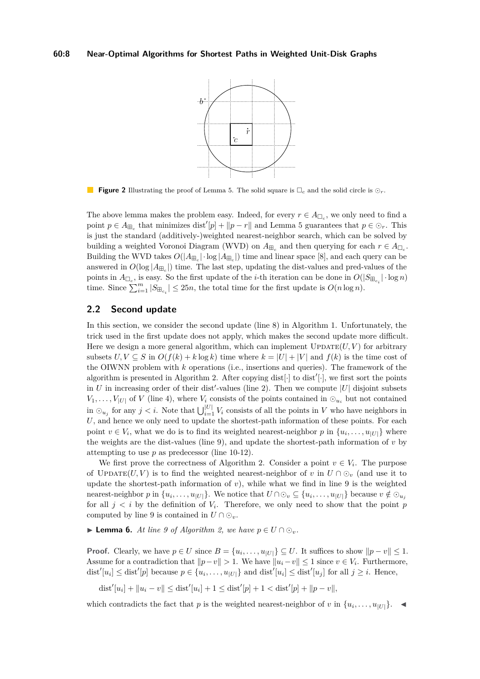<span id="page-7-0"></span>

**Figure 2** Illustrating the proof of Lemma [5.](#page-6-0) The solid square is  $\Box_c$  and the solid circle is  $\odot_r$ .

The above lemma makes the problem easy. Indeed, for every  $r \in A_{\Box_c}$ , we only need to find a point  $p \in A_{\mathbb{H}_c}$  that minimizes dist<sup>'</sup>[*p*] + ||*p* − *r*|| and Lemma [5](#page-6-0) guarantees that  $p \in \mathbb{O}_r$ . This is just the standard (additively-)weighted nearest-neighbor search, which can be solved by building a weighted Voronoi Diagram (WVD) on  $A_{\text{H}_c}$  and then querying for each  $r \in A_{\text{H}_c}$ . Building the WVD takes  $O(|A_{\boxplus_c}| \cdot \log |A_{\boxplus_c}|)$  time and linear space [\[8\]](#page-12-12), and each query can be answered in  $O(\log |A_{\text{H}_c}|)$  time. The last step, updating the dist-values and pred-values of the points in  $A_{\Box_c}$ , is easy. So the first update of the *i*-th iteration can be done in  $O(|S_{\Box_c}| \cdot \log n)$ time. Since  $\sum_{i=1}^{m} |S_{\mathbb{H}_{c_i}}| \leq 25n$ , the total time for the first update is  $O(n \log n)$ .

## <span id="page-7-1"></span>**2.2 Second update**

In this section, we consider the second update (line 8) in Algorithm [1.](#page-4-0) Unfortunately, the trick used in the first update does not apply, which makes the second update more difficult. Here we design a more general algorithm, which can implement  $\text{UPDATE}(U, V)$  for arbitrary subsets  $U, V \subseteq S$  in  $O(f(k) + k \log k)$  time where  $k = |U| + |V|$  and  $f(k)$  is the time cost of the OIWNN problem with *k* operations (i.e., insertions and queries). The framework of the algorithm is presented in Algorithm [2.](#page-8-1) After copying  $dist[\cdot]$  to  $dist'[\cdot]$ , we first sort the points in  $U$  in increasing order of their dist<sup>'</sup>-values (line 2). Then we compute  $|U|$  disjoint subsets  $V_1, \ldots, V_{|U|}$  of *V* (line 4), where  $V_i$  consists of the points contained in  $\odot_{u_i}$  but not contained in  $\odot_{u_j}$  for any  $j < i$ . Note that  $\bigcup_{i=1}^{|U|} V_i$  consists of all the points in *V* who have neighbors in U, and hence we only need to update the shortest-path information of these points. For each point  $v \in V_i$ , what we do is to find its weighted nearest-neighbor p in  $\{u_i, \ldots, u_{|U|}\}\$  where the weights are the dist-values (line 9), and update the shortest-path information of *v* by attempting to use *p* as predecessor (line 10-12).

We first prove the correctness of Algorithm [2.](#page-8-1) Consider a point  $v \in V_i$ . The purpose of UPDATE(*U, V*) is to find the weighted nearest-neighbor of *v* in  $U \cap \mathcal{O}_v$  (and use it to update the shortest-path information of *v*), while what we find in line 9 is the weighted nearest-neighbor p in  $\{u_i, \ldots, u_{|U|}\}$ . We notice that  $U \cap \odot_v \subseteq \{u_i, \ldots, u_{|U|}\}$  because  $v \notin \odot_{u_j}$ for all  $j < i$  by the definition of  $V_i$ . Therefore, we only need to show that the point  $p$ computed by line 9 is contained in  $U \cap \odot_v$ .

▶ **Lemma 6.** At line 9 of Algorithm [2,](#page-8-1) we have  $p \in U \cap \mathcal{O}_v$ .

**Proof.** Clearly, we have  $p \in U$  since  $B = \{u_i, \ldots, u_{|U|}\} \subseteq U$ . It suffices to show  $||p - v|| \leq 1$ . Assume for a contradiction that  $\|p-v\| > 1$ . We have  $\|u_i-v\| \leq 1$  since  $v \in V_i$ . Furthermore,  $\text{dist}'[u_i] \leq \text{dist}'[p]$  because  $p \in \{u_i, \ldots, u_{|U|}\}\$  and  $\text{dist}'[u_i] \leq \text{dist}'[u_j]$  for all  $j \geq i$ . Hence,

 $\text{dist}'[u_i] + ||u_i - v|| \leq \text{dist}'[u_i] + 1 \leq \text{dist}'[p] + 1 < \text{dist}'[p] + ||p - v||,$ 

which contradicts the fact that *p* is the weighted nearest-neighbor of *v* in  $\{u_i, \ldots, u_{|U|}\}.$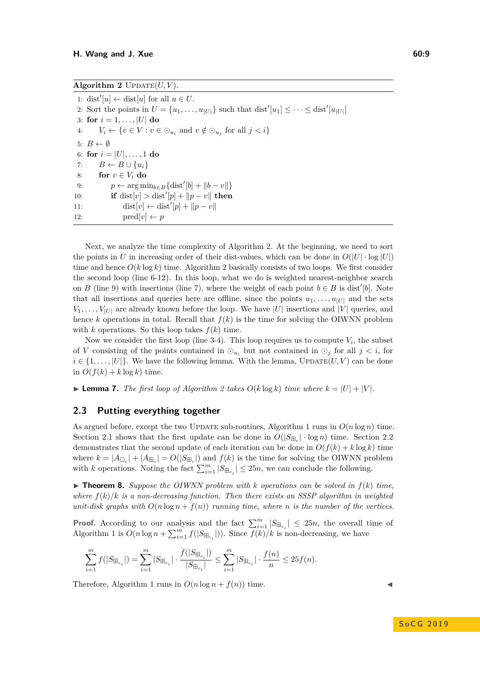<span id="page-8-1"></span>1: dist<sup>'</sup>[*u*] ← dist[*u*] for all  $u \in U$ . 2: Sort the points in  $U = \{u_1, \ldots, u_{|U|}\}$  such that  $\text{dist}'[u_1] \leq \cdots \leq \text{dist}'[u_{|U|}]$ 3: **for**  $i = 1, ..., |U|$  **do** 4:  $V_i \leftarrow \{v \in V : v \in \odot_{u_i} \text{ and } v \notin \odot_{u_j} \text{ for all } j < i\}$ 5:  $B \leftarrow \emptyset$ 6: **for**  $i = |U|, \ldots, 1$  **do** 7:  $B \leftarrow B \cup \{u_i\}$ 8: **for**  $v \in V_i$  **do** 9:  $p \leftarrow \arg \min_{b \in B} {\{\text{dist}'[b] + ||b - v||\}}$ 10: **if** dist[*v*] > dist'[*p*] +  $||p - v||$  then 11:  $dist[v] \leftarrow dist'[p] + ||p - v||$ 12:  $\text{pred}[v] \leftarrow p$ 

Next, we analyze the time complexity of Algorithm [2.](#page-8-1) At the beginning, we need to sort the points in *U* in increasing order of their dist-values, which can be done in  $O(|U| \cdot \log |U|)$ time and hence  $O(k \log k)$  time. Algorithm [2](#page-8-1) basically consists of two loops. We first consider the second loop (line 6-12). In this loop, what we do is weighted nearest-neighbor search on *B* (line 9) with insertions (line 7), where the weight of each point  $b \in B$  is dist<sup>'</sup>[b]. Note that all insertions and queries here are offline, since the points  $u_1, \ldots, u_{|U|}$  and the sets  $V_1, \ldots, V_{|U|}$  are already known before the loop. We have |*U*| insertions and |*V*| queries, and hence *k* operations in total. Recall that  $f(k)$  is the time for solving the OIWNN problem with *k* operations. So this loop takes  $f(k)$  time.

Now we consider the first loop (line 3-4). This loop requires us to compute  $V_i$ , the subset of *V* consisting of the points contained in  $\odot_{u_i}$  but not contained in  $\odot_j$  for all  $j < i$ , for  $i \in \{1, \ldots, |U|\}$ . We have the following lemma. With the lemma, UPDATE $(U, V)$  can be done in  $O(f(k) + k \log k)$  time.

<span id="page-8-0"></span> $\blacktriangleright$  **Lemma 7.** *The first loop of Algorithm [2](#page-8-1) takes*  $O(k \log k)$  *time where*  $k = |U| + |V|$ .

### **2.3 Putting everything together**

As argued before, except the two UPDATE sub-routines, Algorithm [1](#page-4-0) runs in  $O(n \log n)$  time. Section [2.1](#page-6-1) shows that the first update can be done in  $O(|S_{\text{H}_c}| \cdot \log n)$  time. Section [2.2](#page-7-1) demonstrates that the second update of each iteration can be done in  $O(f(k) + k \log k)$  time where  $k = |A_{\Box_c}| + |A_{\boxplus_c}| = O(|S_{\boxplus_c}|)$  and  $f(k)$  is the time for solving the OIWNN problem with *k* operations. Noting the fact  $\sum_{i=1}^{m} |S_{\text{H}_{c_i}}| \leq 25n$ , we can conclude the following.

 $\triangleright$  **Theorem 8.** *Suppose the OIWNN problem with k operations can be solved in*  $f(k)$  *time, where*  $f(k)/k$  *is a non-decreasing function. Then there exists an SSSP algorithm in weighted unit-disk graphs with*  $O(n \log n + f(n))$  *running time, where n is the number of the vertices.* 

**Proof.** According to our analysis and the fact  $\sum_{i=1}^{m} |S_{\text{H}_{c_i}}| \leq 25n$ , the overall time of Algorithm [1](#page-4-0) is  $O(n \log n + \sum_{i=1}^{m} f(|S_{\text{H}_{c_i}}|))$ . Since  $\overline{f(k)}/k$  is non-decreasing, we have

$$
\sum_{i=1}^m f(|S_{\boxplus_{c_i}}|) = \sum_{i=1}^m |S_{\boxplus_{c_i}}| \cdot \frac{f(|S_{\boxplus_{c_i}}|)}{|S_{\boxplus_{c_i}}|} \le \sum_{i=1}^m |S_{\boxplus_{c_i}}| \cdot \frac{f(n)}{n} \le 25 f(n).
$$

Therefore, Algorithm [1](#page-4-0) runs in  $O(n \log n + f(n))$  time.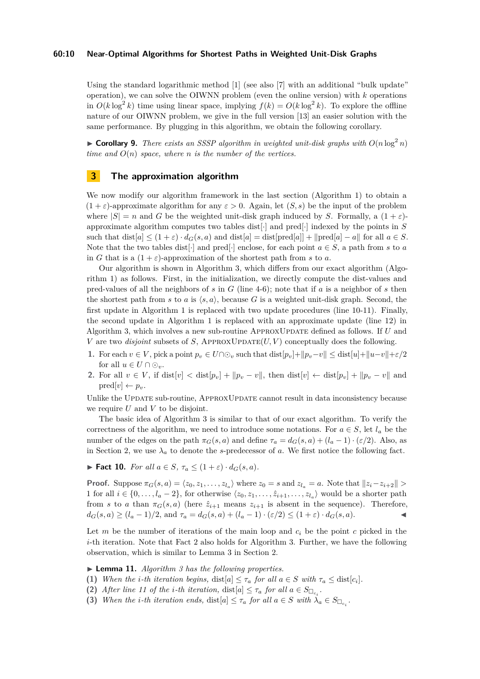#### **60:10 Near-Optimal Algorithms for Shortest Paths in Weighted Unit-Disk Graphs**

Using the standard logarithmic method [\[1\]](#page-12-13) (see also [\[7\]](#page-12-14) with an additional "bulk update" operation), we can solve the OIWNN problem (even the online version) with *k* operations in  $O(k \log^2 k)$  time using linear space, implying  $f(k) = O(k \log^2 k)$ . To explore the offline nature of our OIWNN problem, we give in the full version [\[13\]](#page-12-7) an easier solution with the same performance. By plugging in this algorithm, we obtain the following corollary.

<span id="page-9-1"></span> $\triangleright$  **Corollary 9.** *There exists an SSSP algorithm in weighted unit-disk graphs with*  $O(n \log^2 n)$ *time and O*(*n*) *space, where n is the number of the vertices.*

## <span id="page-9-0"></span>**3 The approximation algorithm**

We now modify our algorithm framework in the last section (Algorithm [1\)](#page-4-0) to obtain a  $(1 + \varepsilon)$ -approximate algorithm for any  $\varepsilon > 0$ . Again, let  $(S, s)$  be the input of the problem where  $|S| = n$  and *G* be the weighted unit-disk graph induced by *S*. Formally, a  $(1 + \varepsilon)$ approximate algorithm computes two tables dist[·] and pred[·] indexed by the points in *S* such that dist $[a] \leq (1+\varepsilon) \cdot d_G(s, a)$  and dist $[a] = \text{dist}[\text{pred}[a]] + ||\text{pred}[a] - a||$  for all  $a \in S$ . Note that the two tables dist[·] and pred[·] enclose, for each point  $a \in S$ , a path from *s* to *a* in *G* that is a  $(1 + \varepsilon)$ -approximation of the shortest path from *s* to *a*.

Our algorithm is shown in Algorithm [3,](#page-10-0) which differs from our exact algorithm (Algorithm [1\)](#page-4-0) as follows. First, in the initialization, we directly compute the dist-values and pred-values of all the neighbors of *s* in *G* (line 4-6); note that if *a* is a neighbor of *s* then the shortest path from *s* to *a* is  $\langle s, a \rangle$ , because *G* is a weighted unit-disk graph. Second, the first update in Algorithm [1](#page-4-0) is replaced with two update procedures (line 10-11). Finally, the second update in Algorithm [1](#page-4-0) is replaced with an approximate update (line 12) in Algorithm [3,](#page-10-0) which involves a new sub-routine ApproxUpdate defined as follows. If *U* and *V* are two *disjoint* subsets of *S*, APPROXUPDATE $(U, V)$  conceptually does the following.

- **1.** For each  $v \in V$ , pick a point  $p_v \in U \cap \odot_v$  such that  $dist[p_v] + ||p_v v|| \leq dist[u] + ||u v|| + \varepsilon/2$ for all  $u \in U \cap \odot_v$ .
- **2.** For all *v* ∈ *V*, if dist[*v*]  $\lt$  dist[*p<sub><i>v*</sub></sub>] + ||*p<sub><i>v*</sub></sub> − *v*||, then dist[*v*]  $\lt$  dist[*p<sub><i>v*</sub></sub>] + ||*p<sub><i>v*</sub> − *v*|| and  $\text{pred}[v] \leftarrow p_v.$

Unlike the UPDATE sub-routine, APPROXUPDATE cannot result in data inconsistency because we require *U* and *V* to be disjoint.

The basic idea of Algorithm [3](#page-10-0) is similar to that of our exact algorithm. To verify the correctness of the algorithm, we need to introduce some notations. For  $a \in S$ , let  $l_a$  be the number of the edges on the path  $\pi_G(s, a)$  and define  $\tau_a = d_G(s, a) + (l_a - 1) \cdot (\varepsilon/2)$ . Also, as in Section [2,](#page-3-0) we use  $\lambda_a$  to denote the *s*-predecessor of *a*. We first notice the following fact.

<span id="page-9-3"></span>**► Fact 10.** For all  $a \in S$ ,  $\tau_a \leq (1+\varepsilon) \cdot d_G(s, a)$ .

**Proof.** Suppose  $\pi_G(s, a) = \langle z_0, z_1, \ldots, z_{l_a} \rangle$  where  $z_0 = s$  and  $z_{l_a} = a$ . Note that  $||z_i - z_{i+2}|| >$ 1 for all  $i \in \{0, \ldots, l_a - 2\}$ , for otherwise  $\langle z_0, z_1, \ldots, \hat{z}_{i+1}, \ldots, z_{l_a} \rangle$  would be a shorter path from *s* to *a* than  $\pi_G(s, a)$  (here  $\hat{z}_{i+1}$  means  $z_{i+1}$  is absent in the sequence). Therefore,  $d_G(s, a) \ge (l_a - 1)/2$ , and  $\tau_a = d_G(s, a) + (l_a - 1) \cdot (\varepsilon/2) \le (1 + \varepsilon) \cdot d_G(s, a)$ .

Let *m* be the number of iterations of the main loop and  $c_i$  be the point *c* picked in the *i*-th iteration. Note that Fact [2](#page-4-1) also holds for Algorithm [3.](#page-10-0) Further, we have the following observation, which is similar to Lemma [3](#page-4-2) in Section [2.](#page-3-0)

<span id="page-9-2"></span>I **Lemma 11.** *Algorithm [3](#page-10-0) has the following properties.*

- **(1)** When the *i*-th iteration begins, dist $[a] \leq \tau_a$  for all  $a \in S$  with  $\tau_a \leq \text{dist}[c_i]$ .
- (2) *After line 11 of the <i>i*-th *iteration*,  $dist[a] \leq \tau_a$  *for all*  $a \in S_{\Box_{c_i}}$ .
- **(3)** When the *i*-th iteration ends, dist $[a] \leq \tau_a$  for all  $a \in S$  with  $\lambda_a \in S_{\Box_{c_i}}$ .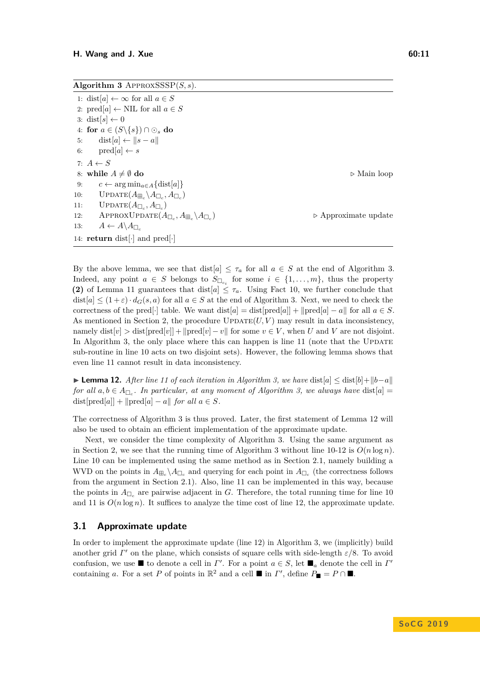<span id="page-10-0"></span>**Algorithm 3** ApproxSSSP(*S, s*).

1: dist[ $a$ ]  $\leftarrow \infty$  for all  $a \in S$ 2:  $\text{pred}[a] \leftarrow \text{NIL}$  for all  $a \in S$ 3: dist[ $s$ ]  $\leftarrow$  0 4: **for**  $a \in (S \setminus \{s\}) \cap \odot_s$  **do** 5: dist[ $a \nvert \leftarrow \|s - a\|$ 6:  $\text{pred}[a] \leftarrow s$ 7:  $A \leftarrow S$ 8: **while**  $A \neq \emptyset$  **do**  $\triangleright$  Main loop 9:  $c \leftarrow \arg \min_{a \in A} \{\text{dist}[a]\}$ 10: UPDATE $(A_{\mathbb{H}_c} \backslash A_{\mathbb{L}_c}, A_{\mathbb{L}_c})$ 11:  $\qquad \text{UPDATE}(A_{\Box_c}, A_{\Box_c})$ 12: APPROXUPDATE $(A_{\Box_c}, A_{\boxplus_c} \backslash A_{\Box_c})$ ) *.* Approximate update 13:  $A \leftarrow A \setminus A_{\square}$ 14: **return** dist[·] and pred[·]

By the above lemma, we see that dist $[a] \leq \tau_a$  for all  $a \in S$  at the end of Algorithm [3.](#page-10-0) Indeed, any point  $a \in S$  belongs to  $S_{\Box_{c_i}}$  for some  $i \in \{1, \ldots, m\}$ , thus the property **(2)** of Lemma [11](#page-9-2) guarantees that dist $[a] \leq \tau_a$ . Using Fact [10,](#page-9-3) we further conclude that  $dist[a] \leq (1+\varepsilon) \cdot d_G(s,a)$  for all  $a \in S$  at the end of Algorithm [3.](#page-10-0) Next, we need to check the correctness of the pred[·] table. We want dist[*a*] = dist[pred[*a*]] +  $\|$ pred[*a*] – *a* $\|$  for all *a* ∈ *S*. As mentioned in Section [2,](#page-3-0) the procedure  $\text{UPDATE}(U, V)$  may result in data inconsistency, namely dist $[v] >$  dist $[pred[v]] + ||pred[v] - v||$  for some  $v \in V$ , when *U* and *V* are not disjoint. In Algorithm [3,](#page-10-0) the only place where this can happen is line  $11$  (note that the UPDATE sub-routine in line 10 acts on two disjoint sets). However, the following lemma shows that even line 11 cannot result in data inconsistency.

<span id="page-10-1"></span>**► Lemma 12.** After line 11 of each iteration in Algorithm [3,](#page-10-0) we have  $dist[a] \leq dist[b] + ||b-a||$ *for all*  $a, b \in A_{\Box_c}$ . In particular, at any moment of Algorithm [3,](#page-10-0) we always have  $dist[a] =$ dist[pred[a]] +  $\text{||pred}[a] - a\text{||}$  *for all*  $a \in S$ *.* 

The correctness of Algorithm [3](#page-10-0) is thus proved. Later, the first statement of Lemma [12](#page-10-1) will also be used to obtain an efficient implementation of the approximate update.

Next, we consider the time complexity of Algorithm [3.](#page-10-0) Using the same argument as in Section [2,](#page-3-0) we see that the running time of Algorithm [3](#page-10-0) without line  $10-12$  is  $O(n \log n)$ . Line 10 can be implemented using the same method as in Section [2.1,](#page-6-1) namely building a WVD on the points in  $A_{\Box_c} \setminus A_{\Box_c}$  and querying for each point in  $A_{\Box_c}$  (the correctness follows from the argument in Section [2.1\)](#page-6-1). Also, line 11 can be implemented in this way, because the points in  $A_{\Box_c}$  are pairwise adjacent in *G*. Therefore, the total running time for line 10 and 11 is  $O(n \log n)$ . It suffices to analyze the time cost of line 12, the approximate update.

## <span id="page-10-2"></span>**3.1 Approximate update**

In order to implement the approximate update (line 12) in Algorithm [3,](#page-10-0) we (implicitly) build another grid  $\Gamma'$  on the plane, which consists of square cells with side-length  $\varepsilon/8$ . To avoid confusion, we use  $\blacksquare$  to denote a cell in *Γ*'. For a point  $a \in S$ , let  $\blacksquare_a$  denote the cell in *Γ*' containing *a*. For a set *P* of points in  $\mathbb{R}^2$  and a cell  $\blacksquare$  in *Γ'*, define  $P_{\blacksquare} = P \cap \blacksquare$ .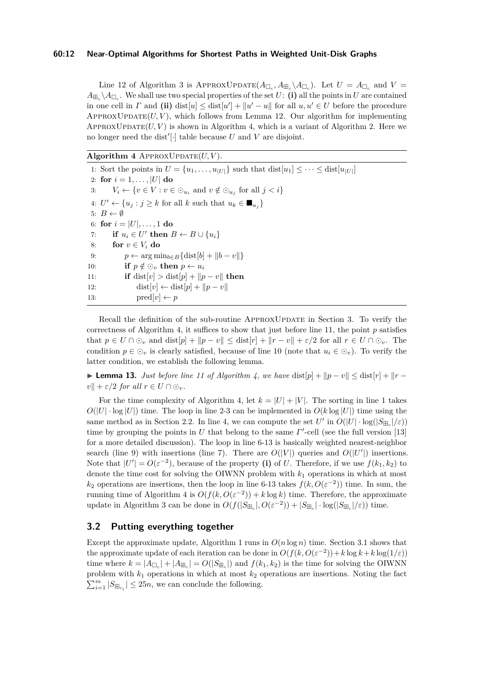#### **60:12 Near-Optimal Algorithms for Shortest Paths in Weighted Unit-Disk Graphs**

Line 12 of Algorithm [3](#page-10-0) is APPROXUPDATE $(A_{\Box_c}, A_{\Box_c}),$  Let  $U = A_{\Box_c}$  and  $V =$  $A_{\boxplus_c} \backslash A_{\Box_c}$ . We shall use two special properties of the set *U*: **(i)** all the points in *U* are contained in one cell in *Γ* and (ii) dist $[u] \leq dist[u'] + ||u' - u||$  for all  $u, u' \in U$  before the procedure  $APPROXUPDATE(U, V)$ , which follows from Lemma [12.](#page-10-1) Our algorithm for implementing APPROXUPDATE $(U, V)$  is shown in Algorithm [4,](#page-11-0) which is a variant of Algorithm [2.](#page-8-1) Here we no longer need the dist<sup>'</sup>[ $\cdot$ ] table because *U* and *V* are disjoint.

<span id="page-11-0"></span>Algorithm 4 APPROXUPDATE $(U, V)$ .

1: Sort the points in  $U = \{u_1, \ldots, u_{|U|}\}$  such that  $dist[u_1] \leq \cdots \leq dist[u_{|U|}]$ 2: **for**  $i = 1, ..., |U|$  **do** 3:  $V_i \leftarrow \{v \in V : v \in \odot_{u_i} \text{ and } v \notin \odot_{u_j} \text{ for all } j < i\}$ 4:  $U' \leftarrow \{u_j : j \geq k \text{ for all } k \text{ such that } u_k \in \blacksquare_{u_j}\}\$ 5:  $B \leftarrow \emptyset$ 6: **for**  $i = |U|, \ldots, 1$  **do** 7: **if**  $u_i \in U'$  then  $B \leftarrow B \cup \{u_i\}$ 8: **for**  $v \in V_i$  **do** 9:  $p \leftarrow \arg \min_{b \in B} {\{\text{dist}[b] + ||b - v||\}}$ 10: **if**  $p \notin \odot_v$  then  $p \leftarrow u_i$ 11: **if** dist[*v*] > dist[*p*] +  $||p - v||$  then 12: dist $[v] \leftarrow \text{dist}[p] + ||p - v||$ 13:  $\text{pred}[v] \leftarrow p$ 

Recall the definition of the sub-routine APPROXUPDATE in Section [3.](#page-9-0) To verify the correctness of Algorithm [4,](#page-11-0) it suffices to show that just before line 11, the point  $p$  satisfies that  $p \in U \cap \mathcal{O}_v$  and  $dist[p] + ||p - v|| \leq dist[r] + ||r - v|| + \varepsilon/2$  for all  $r \in U \cap \mathcal{O}_v$ . The condition  $p \in \mathcal{Q}_v$  is clearly satisfied, because of line 10 (note that  $u_i \in \mathcal{Q}_v$ ). To verify the latter condition, we establish the following lemma.

**► Lemma 13.** *Just before line 11 of Algorithm [4,](#page-11-0) we have* dist $[p] + ||p - v|| \leq dist[r] + ||r - v||$  $v \| + \varepsilon/2$  *for all*  $r \in U \cap \odot_v$ .

For the time complexity of Algorithm [4,](#page-11-0) let  $k = |U| + |V|$ . The sorting in line 1 takes  $O(|U| \cdot \log |U|)$  time. The loop in line 2-3 can be implemented in  $O(k \log |U|)$  time using the same method as in Section [2.2.](#page-7-1) In line 4, we can compute the set  $U'$  in  $O(|U| \cdot \log(|S_{\Xi_c}|/\varepsilon))$ time by grouping the points in  $U$  that belong to the same  $\Gamma'$ -cell (see the full version [\[13\]](#page-12-7) for a more detailed discussion). The loop in line 6-13 is basically weighted nearest-neighbor search (line 9) with insertions (line 7). There are  $O(|V|)$  queries and  $O(|U'|)$  insertions. Note that  $|U'| = O(\varepsilon^{-2})$ , because of the property (i) of *U*. Therefore, if we use  $f(k_1, k_2)$  to denote the time cost for solving the OIWNN problem with *k*<sup>1</sup> operations in which at most  $k_2$  operations are insertions, then the loop in line 6-13 takes  $f(k, O(\varepsilon^{-2}))$  time. In sum, the running time of Algorithm [4](#page-11-0) is  $O(f(k, O(\varepsilon^{-2})) + k \log k)$  time. Therefore, the approximate update in Algorithm [3](#page-10-0) can be done in  $O(f(|S_{\mathbb{H}_c}|, O(\varepsilon^{-2})) + |S_{\mathbb{H}_c}| \cdot \log(|S_{\mathbb{H}_c}|/\varepsilon))$  time.

## **3.2 Putting everything together**

Except the approximate update, Algorithm [1](#page-4-0) runs in  $O(n \log n)$  time. Section [3.1](#page-10-2) shows that the approximate update of each iteration can be done in  $O(f(k, O(\varepsilon^{-2})) + k \log k + k \log(1/\varepsilon))$ time where  $k = |A_{\Box_c}| + |A_{\boxplus_c}| = O(|S_{\boxplus_c}|)$  and  $f(k_1, k_2)$  is the time for solving the OIWNN problem with *k*<sup>1</sup> operations in which at most *k*<sup>2</sup> operations are insertions. Noting the fact  $\sum_{i=1}^{m} |S_{\boxplus_{c_i}}| \leq 25n$ , we can conclude the following.